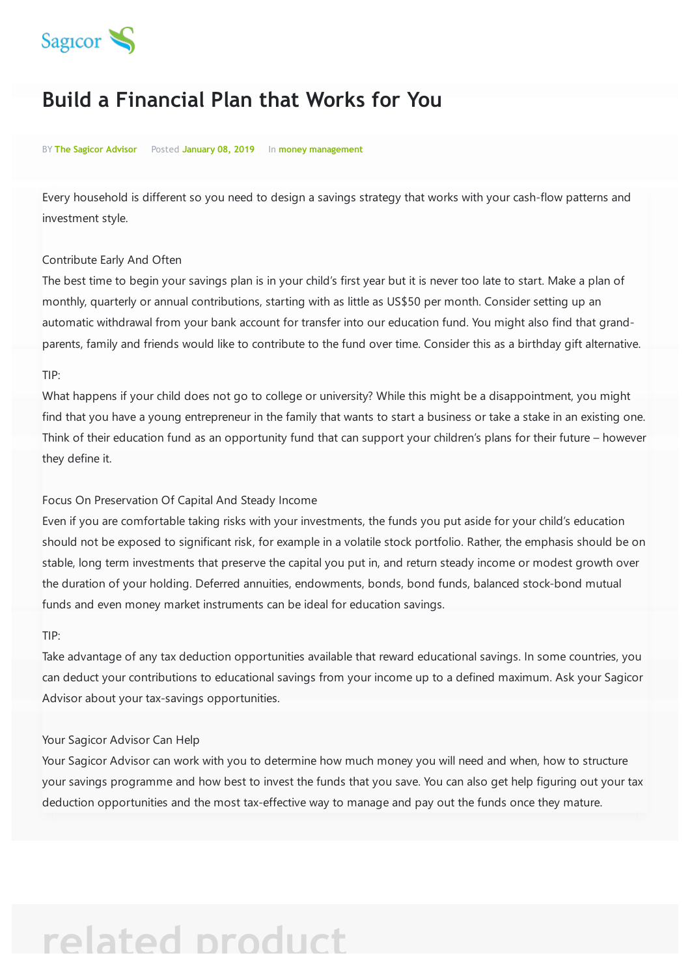

# **Build a Financial Plan that Works for You**

#### BY **The Sagicor Advisor** Posted **January 08, 2019** In **money management**

Every household is different so you need to design a savings strategy that works with your cash-flow patterns and investment style.

#### Contribute Early And Often

The best time to begin your savings plan is in your child's first year but it is never too late to start. Make a plan of monthly, quarterly or annual contributions, starting with as little as US\$50 per month. Consider setting up an automatic withdrawal from your bank account for transfer into our education fund. You might also find that grandparents, family and friends would like to contribute to the fund over time. Consider this as a birthday gift alternative.

#### TIP:

What happens if your child does not go to college or university? While this might be a disappointment, you might find that you have a young entrepreneur in the family that wants to start a business or take a stake in an existing one. Think of their education fund as an opportunity fund that can support your children's plans for their future – however they define it.

#### Focus On Preservation Of Capital And Steady Income

Even if you are comfortable taking risks with your investments, the funds you put aside for your child's education should not be exposed to significant risk, for example in a volatile stock portfolio. Rather, the emphasis should be on stable, long term investments that preserve the capital you put in, and return steady income or modest growth over the duration of your holding. Deferred annuities, endowments, bonds, bond funds, balanced stock-bond mutual funds and even money market instruments can be ideal for education savings.

#### TIP:

Take advantage of any tax deduction opportunities available that reward educational savings. In some countries, you can deduct your contributions to educational savings from your income up to a defined maximum. Ask your Sagicor Advisor about your tax-savings opportunities.

#### Your Sagicor Advisor Can Help

Your Sagicor Advisor can work with you to determine how much money you will need and when, how to structure your savings programme and how best to invest the funds that you save. You can also get help figuring out your tax deduction opportunities and the most tax-effective way to manage and pay out the funds once they mature.

# **related product**